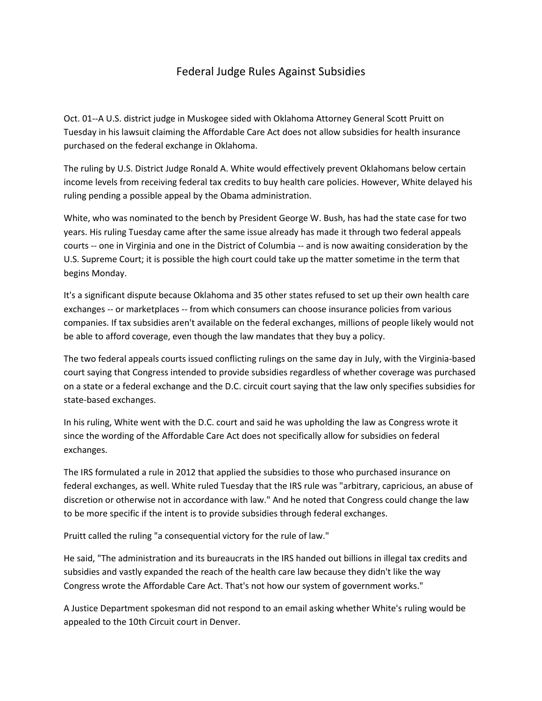## Federal Judge Rules Against Subsidies

Oct. 01--A U.S. district judge in Muskogee sided with Oklahoma Attorney General Scott Pruitt on Tuesday in his lawsuit claiming the Affordable Care Act does not allow subsidies for health insurance purchased on the federal exchange in Oklahoma.

The ruling by U.S. District Judge Ronald A. White would effectively prevent Oklahomans below certain income levels from receiving federal tax credits to buy health care policies. However, White delayed his ruling pending a possible appeal by the Obama administration.

White, who was nominated to the bench by President George W. Bush, has had the state case for two years. His ruling Tuesday came after the same issue already has made it through two federal appeals courts -- one in Virginia and one in the District of Columbia -- and is now awaiting consideration by the U.S. Supreme Court; it is possible the high court could take up the matter sometime in the term that begins Monday.

It's a significant dispute because Oklahoma and 35 other states refused to set up their own health care exchanges -- or marketplaces -- from which consumers can choose insurance policies from various companies. If tax subsidies aren't available on the federal exchanges, millions of people likely would not be able to afford coverage, even though the law mandates that they buy a policy.

The two federal appeals courts issued conflicting rulings on the same day in July, with the Virginia-based court saying that Congress intended to provide subsidies regardless of whether coverage was purchased on a state or a federal exchange and the D.C. circuit court saying that the law only specifies subsidies for state-based exchanges.

In his ruling, White went with the D.C. court and said he was upholding the law as Congress wrote it since the wording of the Affordable Care Act does not specifically allow for subsidies on federal exchanges.

The IRS formulated a rule in 2012 that applied the subsidies to those who purchased insurance on federal exchanges, as well. White ruled Tuesday that the IRS rule was "arbitrary, capricious, an abuse of discretion or otherwise not in accordance with law." And he noted that Congress could change the law to be more specific if the intent is to provide subsidies through federal exchanges.

Pruitt called the ruling "a consequential victory for the rule of law."

He said, "The administration and its bureaucrats in the IRS handed out billions in illegal tax credits and subsidies and vastly expanded the reach of the health care law because they didn't like the way Congress wrote the Affordable Care Act. That's not how our system of government works."

A Justice Department spokesman did not respond to an email asking whether White's ruling would be appealed to the 10th Circuit court in Denver.